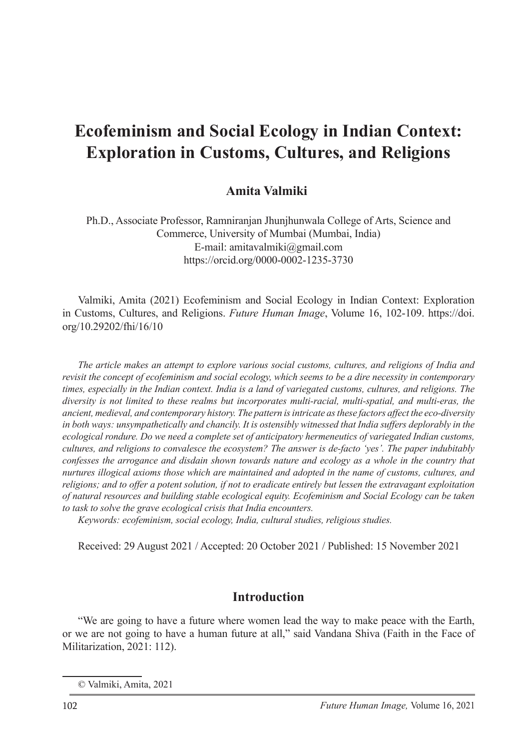# **Ecofeminism and Social Ecology in Indian Context: Exploration in Customs, Cultures, and Religions**

# **Amita Valmiki**<sup>1</sup>

Ph.D., Associate Professor, Ramniranjan Jhunjhunwala College of Arts, Science and Commerce, University of Mumbai (Mumbai, India) E-mail: amitavalmiki@gmail.com https://orcid.org/0000-0002-1235-3730

Valmiki, Amita (2021) Ecofeminism and Social Ecology in Indian Context: Exploration in Customs, Cultures, and Religions. *Future Human Image*, Volume 16, 102-109. https://doi. org/10.29202/fhi/16/10

*The article makes an attempt to explore various social customs, cultures, and religions of India and revisit the concept of ecofeminism and social ecology, which seems to be a dire necessity in contemporary times, especially in the Indian context. India is a land of variegated customs, cultures, and religions. The diversity is not limited to these realms but incorporates multi-racial, multi-spatial, and multi-eras, the ancient, medieval, and contemporary history. The pattern is intricate as these factors affect the eco-diversity in both ways: unsympathetically and chancily. It is ostensibly witnessed that India suffers deplorably in the ecological rondure. Do we need a complete set of anticipatory hermeneutics of variegated Indian customs, cultures, and religions to convalesce the ecosystem? The answer is de-facto 'yes'. The paper indubitably confesses the arrogance and disdain shown towards nature and ecology as a whole in the country that nurtures illogical axioms those which are maintained and adopted in the name of customs, cultures, and religions; and to offer a potent solution, if not to eradicate entirely but lessen the extravagant exploitation of natural resources and building stable ecological equity. Ecofeminism and Social Ecology can be taken to task to solve the grave ecological crisis that India encounters.* 

*Keywords: ecofeminism, social ecology, India, cultural studies, religious studies.*

Received: 29 August 2021 / Accepted: 20 October 2021 / Published: 15 November 2021

### **Introduction**

"We are going to have a future where women lead the way to make peace with the Earth, or we are not going to have a human future at all," said Vandana Shiva (Faith in the Face of Militarization, 2021: 112).

<sup>©</sup> Valmiki, Amita, 2021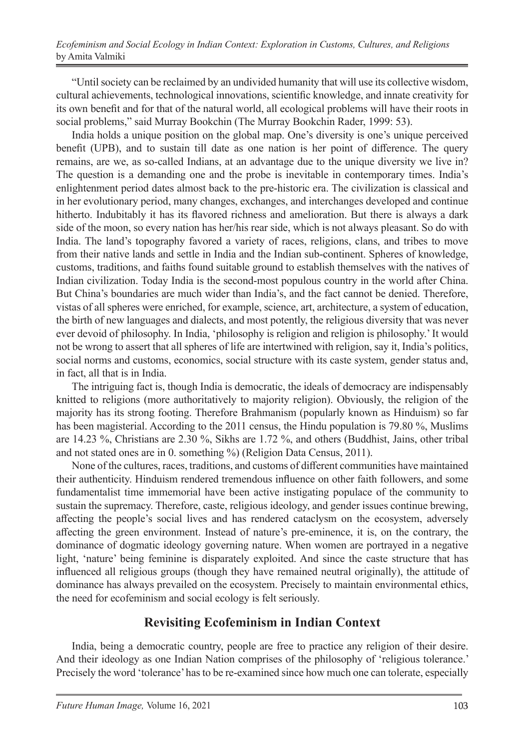*Ecofeminism and Social Ecology in Indian Context: Exploration in Customs, Cultures, and Religions* by Amita Valmiki

"Until society can be reclaimed by an undivided humanity that will use its collective wisdom, cultural achievements, technological innovations, scientific knowledge, and innate creativity for its own benefit and for that of the natural world, all ecological problems will have their roots in social problems," said Murray Bookchin (The Murray Bookchin Rader, 1999: 53).

India holds a unique position on the global map. One's diversity is one's unique perceived benefit (UPB), and to sustain till date as one nation is her point of difference. The query remains, are we, as so-called Indians, at an advantage due to the unique diversity we live in? The question is a demanding one and the probe is inevitable in contemporary times. India's enlightenment period dates almost back to the pre-historic era. The civilization is classical and in her evolutionary period, many changes, exchanges, and interchanges developed and continue hitherto. Indubitably it has its flavored richness and amelioration. But there is always a dark side of the moon, so every nation has her/his rear side, which is not always pleasant. So do with India. The land's topography favored a variety of races, religions, clans, and tribes to move from their native lands and settle in India and the Indian sub-continent. Spheres of knowledge, customs, traditions, and faiths found suitable ground to establish themselves with the natives of Indian civilization. Today India is the second-most populous country in the world after China. But China's boundaries are much wider than India's, and the fact cannot be denied. Therefore, vistas of all spheres were enriched, for example, science, art, architecture, a system of education, the birth of new languages and dialects, and most potently, the religious diversity that was never ever devoid of philosophy. In India, 'philosophy is religion and religion is philosophy.' It would not be wrong to assert that all spheres of life are intertwined with religion, say it, India's politics, social norms and customs, economics, social structure with its caste system, gender status and, in fact, all that is in India.

The intriguing fact is, though India is democratic, the ideals of democracy are indispensably knitted to religions (more authoritatively to majority religion). Obviously, the religion of the majority has its strong footing. Therefore Brahmanism (popularly known as Hinduism) so far has been magisterial. According to the 2011 census, the Hindu population is 79.80 %, Muslims are 14.23 %, Christians are 2.30 %, Sikhs are 1.72 %, and others (Buddhist, Jains, other tribal and not stated ones are in 0. something %) (Religion Data Census, 2011).

None of the cultures, races, traditions, and customs of different communities have maintained their authenticity. Hinduism rendered tremendous influence on other faith followers, and some fundamentalist time immemorial have been active instigating populace of the community to sustain the supremacy. Therefore, caste, religious ideology, and gender issues continue brewing, affecting the people's social lives and has rendered cataclysm on the ecosystem, adversely affecting the green environment. Instead of nature's pre-eminence, it is, on the contrary, the dominance of dogmatic ideology governing nature. When women are portrayed in a negative light, 'nature' being feminine is disparately exploited. And since the caste structure that has influenced all religious groups (though they have remained neutral originally), the attitude of dominance has always prevailed on the ecosystem. Precisely to maintain environmental ethics, the need for ecofeminism and social ecology is felt seriously.

### **Revisiting Ecofeminism in Indian Context**

India, being a democratic country, people are free to practice any religion of their desire. And their ideology as one Indian Nation comprises of the philosophy of 'religious tolerance.' Precisely the word 'tolerance' has to be re-examined since how much one can tolerate, especially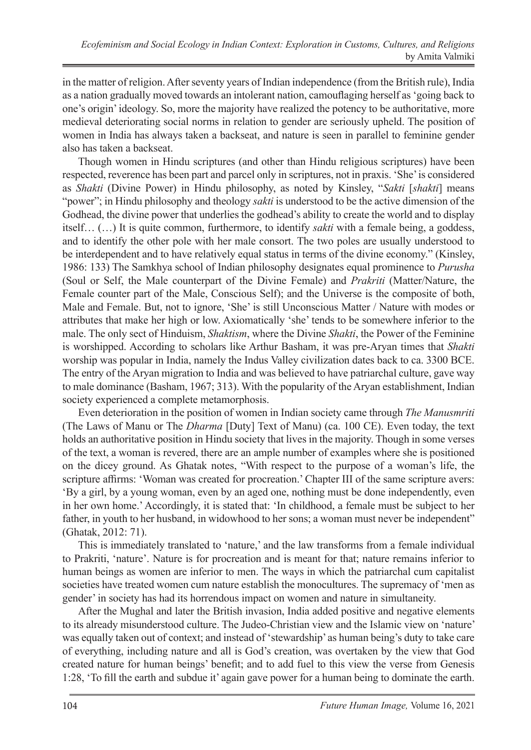in the matter of religion. After seventy years of Indian independence (from the British rule), India as a nation gradually moved towards an intolerant nation, camouflaging herself as 'going back to one's origin' ideology. So, more the majority have realized the potency to be authoritative, more medieval deteriorating social norms in relation to gender are seriously upheld. The position of women in India has always taken a backseat, and nature is seen in parallel to feminine gender also has taken a backseat.

Though women in Hindu scriptures (and other than Hindu religious scriptures) have been respected, reverence has been part and parcel only in scriptures, not in praxis. 'She' is considered as *Shakti* (Divine Power) in Hindu philosophy, as noted by Kinsley, "*Sakti* [*shakti*] means "power"; in Hindu philosophy and theology *sakti* is understood to be the active dimension of the Godhead, the divine power that underlies the godhead's ability to create the world and to display itself… (…) It is quite common, furthermore, to identify *sakti* with a female being, a goddess, and to identify the other pole with her male consort. The two poles are usually understood to be interdependent and to have relatively equal status in terms of the divine economy." (Kinsley, 1986: 133) The Samkhya school of Indian philosophy designates equal prominence to *Purusha* (Soul or Self, the Male counterpart of the Divine Female) and *Prakriti* (Matter/Nature, the Female counter part of the Male, Conscious Self); and the Universe is the composite of both, Male and Female. But, not to ignore, 'She' is still Unconscious Matter / Nature with modes or attributes that make her high or low. Axiomatically 'she' tends to be somewhere inferior to the male. The only sect of Hinduism, *Shaktism*, where the Divine *Shakti*, the Power of the Feminine is worshipped. According to scholars like Arthur Basham, it was pre-Aryan times that *Shakti* worship was popular in India, namely the Indus Valley civilization dates back to ca. 3300 BCE. The entry of the Aryan migration to India and was believed to have patriarchal culture, gave way to male dominance (Basham, 1967; 313). With the popularity of the Aryan establishment, Indian society experienced a complete metamorphosis.

Even deterioration in the position of women in Indian society came through *The Manusmriti* (The Laws of Manu or The *Dharma* [Duty] Text of Manu) (ca. 100 CE). Even today, the text holds an authoritative position in Hindu society that lives in the majority. Though in some verses of the text, a woman is revered, there are an ample number of examples where she is positioned on the dicey ground. As Ghatak notes, "With respect to the purpose of a woman's life, the scripture affirms: 'Woman was created for procreation.' Chapter III of the same scripture avers: 'By a girl, by a young woman, even by an aged one, nothing must be done independently, even in her own home.' Accordingly, it is stated that: 'In childhood, a female must be subject to her father, in youth to her husband, in widowhood to her sons; a woman must never be independent" (Ghatak, 2012: 71).

This is immediately translated to 'nature,' and the law transforms from a female individual to Prakriti, 'nature'. Nature is for procreation and is meant for that; nature remains inferior to human beings as women are inferior to men. The ways in which the patriarchal cum capitalist societies have treated women cum nature establish the monocultures. The supremacy of 'men as gender' in society has had its horrendous impact on women and nature in simultaneity.

After the Mughal and later the British invasion, India added positive and negative elements to its already misunderstood culture. The Judeo-Christian view and the Islamic view on 'nature' was equally taken out of context; and instead of 'stewardship' as human being's duty to take care of everything, including nature and all is God's creation, was overtaken by the view that God created nature for human beings' benefit; and to add fuel to this view the verse from Genesis 1:28, 'To fill the earth and subdue it' again gave power for a human being to dominate the earth.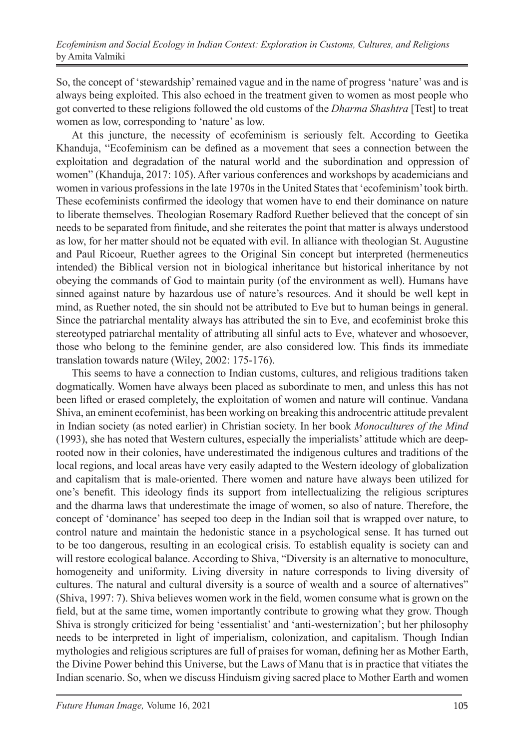So, the concept of 'stewardship' remained vague and in the name of progress 'nature' was and is always being exploited. This also echoed in the treatment given to women as most people who got converted to these religions followed the old customs of the *Dharma Shashtra* [Test] to treat women as low, corresponding to 'nature' as low.

At this juncture, the necessity of ecofeminism is seriously felt. According to Geetika Khanduja, "Ecofeminism can be defined as a movement that sees a connection between the exploitation and degradation of the natural world and the subordination and oppression of women" (Khanduja, 2017: 105). After various conferences and workshops by academicians and women in various professions in the late 1970s in the United States that 'ecofeminism' took birth. These ecofeminists confirmed the ideology that women have to end their dominance on nature to liberate themselves. Theologian Rosemary Radford Ruether believed that the concept of sin needs to be separated from finitude, and she reiterates the point that matter is always understood as low, for her matter should not be equated with evil. In alliance with theologian St. Augustine and Paul Ricoeur, Ruether agrees to the Original Sin concept but interpreted (hermeneutics intended) the Biblical version not in biological inheritance but historical inheritance by not obeying the commands of God to maintain purity (of the environment as well). Humans have sinned against nature by hazardous use of nature's resources. And it should be well kept in mind, as Ruether noted, the sin should not be attributed to Eve but to human beings in general. Since the patriarchal mentality always has attributed the sin to Eve, and ecofeminist broke this stereotyped patriarchal mentality of attributing all sinful acts to Eve, whatever and whosoever, those who belong to the feminine gender, are also considered low. This finds its immediate translation towards nature (Wiley, 2002: 175-176).

This seems to have a connection to Indian customs, cultures, and religious traditions taken dogmatically. Women have always been placed as subordinate to men, and unless this has not been lifted or erased completely, the exploitation of women and nature will continue. Vandana Shiva, an eminent ecofeminist, has been working on breaking this androcentric attitude prevalent in Indian society (as noted earlier) in Christian society. In her book *Monocultures of the Mind* (1993), she has noted that Western cultures, especially the imperialists' attitude which are deeprooted now in their colonies, have underestimated the indigenous cultures and traditions of the local regions, and local areas have very easily adapted to the Western ideology of globalization and capitalism that is male-oriented. There women and nature have always been utilized for one's benefit. This ideology finds its support from intellectualizing the religious scriptures and the dharma laws that underestimate the image of women, so also of nature. Therefore, the concept of 'dominance' has seeped too deep in the Indian soil that is wrapped over nature, to control nature and maintain the hedonistic stance in a psychological sense. It has turned out to be too dangerous, resulting in an ecological crisis. To establish equality is society can and will restore ecological balance. According to Shiva, "Diversity is an alternative to monoculture, homogeneity and uniformity. Living diversity in nature corresponds to living diversity of cultures. The natural and cultural diversity is a source of wealth and a source of alternatives" (Shiva, 1997: 7). Shiva believes women work in the field, women consume what is grown on the field, but at the same time, women importantly contribute to growing what they grow. Though Shiva is strongly criticized for being 'essentialist' and 'anti-westernization'; but her philosophy needs to be interpreted in light of imperialism, colonization, and capitalism. Though Indian mythologies and religious scriptures are full of praises for woman, defining her as Mother Earth, the Divine Power behind this Universe, but the Laws of Manu that is in practice that vitiates the Indian scenario. So, when we discuss Hinduism giving sacred place to Mother Earth and women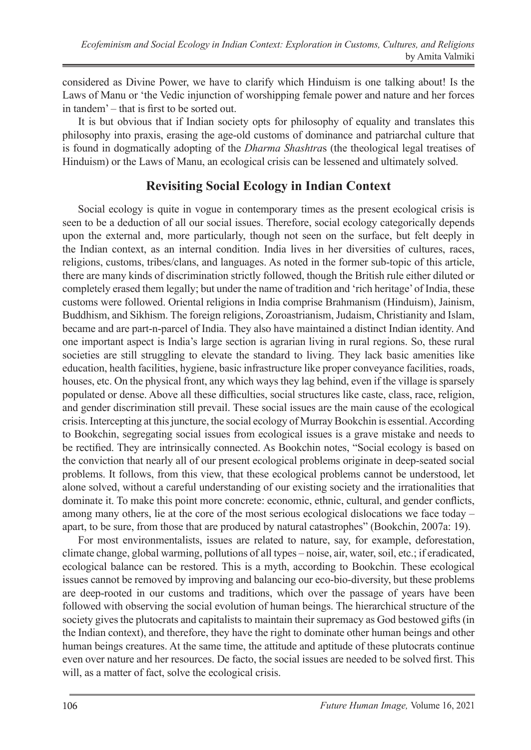considered as Divine Power, we have to clarify which Hinduism is one talking about! Is the Laws of Manu or 'the Vedic injunction of worshipping female power and nature and her forces in tandem' – that is first to be sorted out.

It is but obvious that if Indian society opts for philosophy of equality and translates this philosophy into praxis, erasing the age-old customs of dominance and patriarchal culture that is found in dogmatically adopting of the *Dharma Shashtra*s (the theological legal treatises of Hinduism) or the Laws of Manu, an ecological crisis can be lessened and ultimately solved.

# **Revisiting Social Ecology in Indian Context**

Social ecology is quite in vogue in contemporary times as the present ecological crisis is seen to be a deduction of all our social issues. Therefore, social ecology categorically depends upon the external and, more particularly, though not seen on the surface, but felt deeply in the Indian context, as an internal condition. India lives in her diversities of cultures, races, religions, customs, tribes/clans, and languages. As noted in the former sub-topic of this article, there are many kinds of discrimination strictly followed, though the British rule either diluted or completely erased them legally; but under the name of tradition and 'rich heritage' of India, these customs were followed. Oriental religions in India comprise Brahmanism (Hinduism), Jainism, Buddhism, and Sikhism. The foreign religions, Zoroastrianism, Judaism, Christianity and Islam, became and are part-n-parcel of India. They also have maintained a distinct Indian identity. And one important aspect is India's large section is agrarian living in rural regions. So, these rural societies are still struggling to elevate the standard to living. They lack basic amenities like education, health facilities, hygiene, basic infrastructure like proper conveyance facilities, roads, houses, etc. On the physical front, any which ways they lag behind, even if the village is sparsely populated or dense. Above all these difficulties, social structures like caste, class, race, religion, and gender discrimination still prevail. These social issues are the main cause of the ecological crisis. Intercepting at this juncture, the social ecology of Murray Bookchin is essential. According to Bookchin, segregating social issues from ecological issues is a grave mistake and needs to be rectified. They are intrinsically connected. As Bookchin notes, "Social ecology is based on the conviction that nearly all of our present ecological problems originate in deep-seated social problems. It follows, from this view, that these ecological problems cannot be understood, let alone solved, without a careful understanding of our existing society and the irrationalities that dominate it. To make this point more concrete: economic, ethnic, cultural, and gender conflicts, among many others, lie at the core of the most serious ecological dislocations we face today – apart, to be sure, from those that are produced by natural catastrophes" (Bookchin, 2007a: 19).

For most environmentalists, issues are related to nature, say, for example, deforestation, climate change, global warming, pollutions of all types – noise, air, water, soil, etc.; if eradicated, ecological balance can be restored. This is a myth, according to Bookchin. These ecological issues cannot be removed by improving and balancing our eco-bio-diversity, but these problems are deep-rooted in our customs and traditions, which over the passage of years have been followed with observing the social evolution of human beings. The hierarchical structure of the society gives the plutocrats and capitalists to maintain their supremacy as God bestowed gifts (in the Indian context), and therefore, they have the right to dominate other human beings and other human beings creatures. At the same time, the attitude and aptitude of these plutocrats continue even over nature and her resources. De facto, the social issues are needed to be solved first. This will, as a matter of fact, solve the ecological crisis.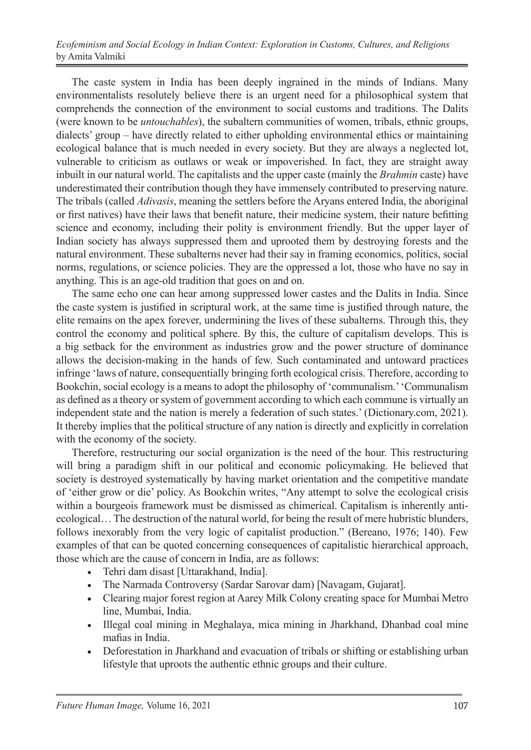#### *Ecofeminism and Social Ecology in Indian Context: Exploration in Customs, Cultures, and Religions* by Amita Valmiki

The caste system in India has been deeply ingrained in the minds of Indians. Many environmentalists resolutely believe there is an urgent need for a philosophical system that comprehends the connection of the environment to social customs and traditions. The Dalits (were known to be *untouchables*), the subaltern communities of women, tribals, ethnic groups, dialects' group – have directly related to either upholding environmental ethics or maintaining ecological balance that is much needed in every society. But they are always a neglected lot, vulnerable to criticism as outlaws or weak or impoverished. In fact, they are straight away inbuilt in our natural world. The capitalists and the upper caste (mainly the *Brahmin* caste) have underestimated their contribution though they have immensely contributed to preserving nature. The tribals (called *Adivasis*, meaning the settlers before the Aryans entered India, the aboriginal or first natives) have their laws that benefit nature, their medicine system, their nature befitting science and economy, including their polity is environment friendly. But the upper layer of Indian society has always suppressed them and uprooted them by destroying forests and the natural environment. These subalterns never had their say in framing economics, politics, social norms, regulations, or science policies. They are the oppressed a lot, those who have no say in anything. This is an age-old tradition that goes on and on.

The same echo one can hear among suppressed lower castes and the Dalits in India. Since the caste system is justified in scriptural work, at the same time is justified through nature, the elite remains on the apex forever, undermining the lives of these subalterns. Through this, they control the economy and political sphere. By this, the culture of capitalism develops. This is a big setback for the environment as industries grow and the power structure of dominance allows the decision-making in the hands of few. Such contaminated and untoward practices infringe 'laws of nature, consequentially bringing forth ecological crisis. Therefore, according to Bookchin, social ecology is a means to adopt the philosophy of 'communalism.' 'Communalism as defined as a theory or system of government according to which each commune is virtually an independent state and the nation is merely a federation of such states.' (Dictionary.com, 2021). It thereby implies that the political structure of any nation is directly and explicitly in correlation with the economy of the society.

Therefore, restructuring our social organization is the need of the hour. This restructuring will bring a paradigm shift in our political and economic policymaking. He believed that society is destroyed systematically by having market orientation and the competitive mandate of 'either grow or die' policy. As Bookchin writes, "Any attempt to solve the ecological crisis within a bourgeois framework must be dismissed as chimerical. Capitalism is inherently antiecological… The destruction of the natural world, for being the result of mere hubristic blunders, follows inexorably from the very logic of capitalist production." (Bereano, 1976; 140). Few examples of that can be quoted concerning consequences of capitalistic hierarchical approach, those which are the cause of concern in India, are as follows:

- • Tehri dam disast [Uttarakhand, India].
- The Narmada Controversy (Sardar Sarovar dam) [Navagam, Gujarat].
- Clearing major forest region at Aarey Milk Colony creating space for Mumbai Metro line, Mumbai, India.
- Illegal coal mining in Meghalaya, mica mining in Jharkhand, Dhanbad coal mine mafias in India.
- Deforestation in Jharkhand and evacuation of tribals or shifting or establishing urban lifestyle that uproots the authentic ethnic groups and their culture.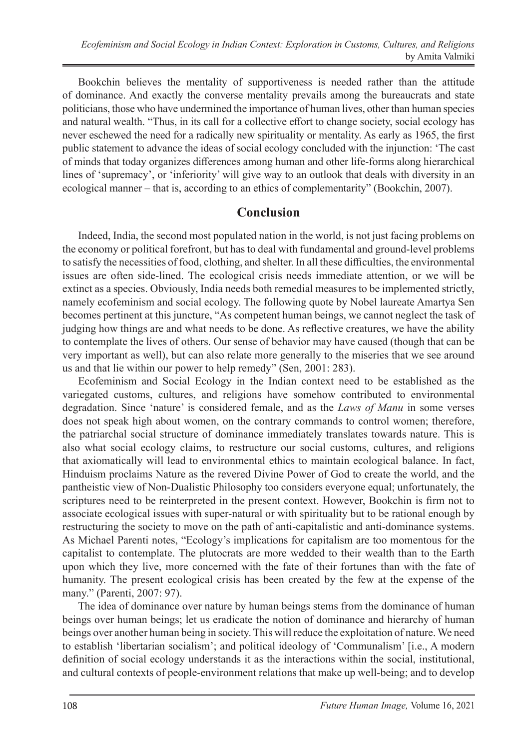Bookchin believes the mentality of supportiveness is needed rather than the attitude of dominance. And exactly the converse mentality prevails among the bureaucrats and state politicians, those who have undermined the importance of human lives, other than human species and natural wealth. "Thus, in its call for a collective effort to change society, social ecology has never eschewed the need for a radically new spirituality or mentality. As early as 1965, the first public statement to advance the ideas of social ecology concluded with the injunction: 'The cast of minds that today organizes differences among human and other life-forms along hierarchical lines of 'supremacy', or 'inferiority' will give way to an outlook that deals with diversity in an ecological manner – that is, according to an ethics of complementarity" (Bookchin, 2007).

### **Conclusion**

Indeed, India, the second most populated nation in the world, is not just facing problems on the economy or political forefront, but has to deal with fundamental and ground-level problems to satisfy the necessities of food, clothing, and shelter. In all these difficulties, the environmental issues are often side-lined. The ecological crisis needs immediate attention, or we will be extinct as a species. Obviously, India needs both remedial measures to be implemented strictly, namely ecofeminism and social ecology. The following quote by Nobel laureate Amartya Sen becomes pertinent at this juncture, "As competent human beings, we cannot neglect the task of judging how things are and what needs to be done. As reflective creatures, we have the ability to contemplate the lives of others. Our sense of behavior may have caused (though that can be very important as well), but can also relate more generally to the miseries that we see around us and that lie within our power to help remedy" (Sen, 2001: 283).

Ecofeminism and Social Ecology in the Indian context need to be established as the variegated customs, cultures, and religions have somehow contributed to environmental degradation. Since 'nature' is considered female, and as the *Laws of Manu* in some verses does not speak high about women, on the contrary commands to control women; therefore, the patriarchal social structure of dominance immediately translates towards nature. This is also what social ecology claims, to restructure our social customs, cultures, and religions that axiomatically will lead to environmental ethics to maintain ecological balance. In fact, Hinduism proclaims Nature as the revered Divine Power of God to create the world, and the pantheistic view of Non-Dualistic Philosophy too considers everyone equal; unfortunately, the scriptures need to be reinterpreted in the present context. However, Bookchin is firm not to associate ecological issues with super-natural or with spirituality but to be rational enough by restructuring the society to move on the path of anti-capitalistic and anti-dominance systems. As Michael Parenti notes, "Ecology's implications for capitalism are too momentous for the capitalist to contemplate. The plutocrats are more wedded to their wealth than to the Earth upon which they live, more concerned with the fate of their fortunes than with the fate of humanity. The present ecological crisis has been created by the few at the expense of the many." (Parenti, 2007: 97).

The idea of dominance over nature by human beings stems from the dominance of human beings over human beings; let us eradicate the notion of dominance and hierarchy of human beings over another human being in society. This will reduce the exploitation of nature. We need to establish 'libertarian socialism'; and political ideology of 'Communalism' [i.e., A modern definition of social ecology understands it as the interactions within the social, institutional, and cultural contexts of people-environment relations that make up well-being; and to develop